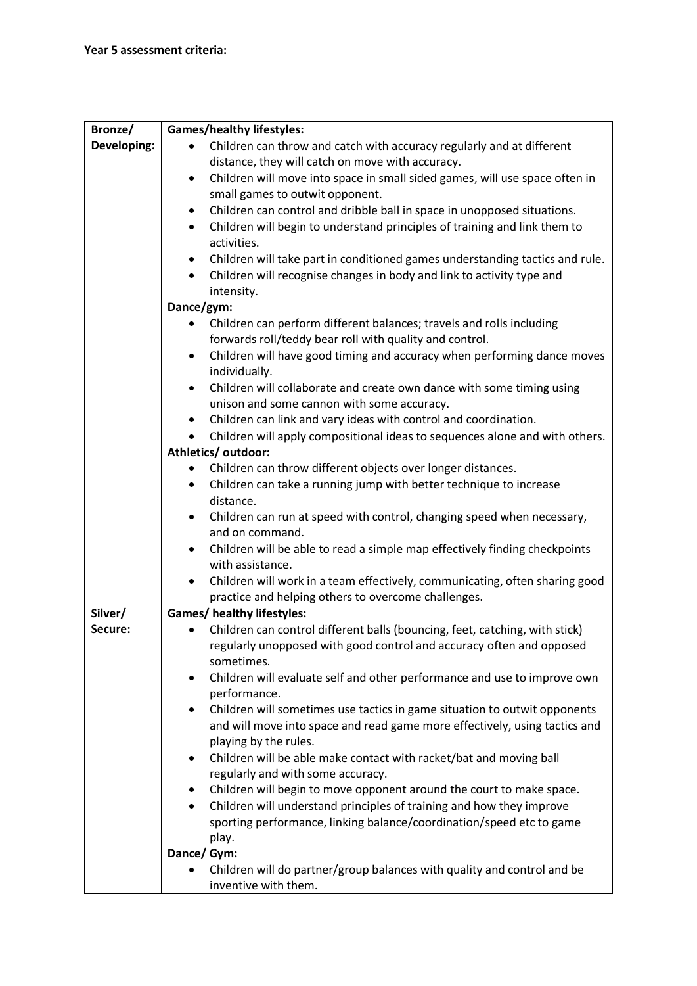| Bronze/     | <b>Games/healthy lifestyles:</b>                                                                                                                                 |
|-------------|------------------------------------------------------------------------------------------------------------------------------------------------------------------|
| Developing: | Children can throw and catch with accuracy regularly and at different                                                                                            |
|             | distance, they will catch on move with accuracy.                                                                                                                 |
|             | Children will move into space in small sided games, will use space often in<br>$\bullet$                                                                         |
|             | small games to outwit opponent.                                                                                                                                  |
|             | Children can control and dribble ball in space in unopposed situations.<br>٠                                                                                     |
|             | Children will begin to understand principles of training and link them to<br>$\bullet$                                                                           |
|             | activities.                                                                                                                                                      |
|             | Children will take part in conditioned games understanding tactics and rule.<br>٠                                                                                |
|             | Children will recognise changes in body and link to activity type and<br>$\bullet$                                                                               |
|             | intensity.                                                                                                                                                       |
|             | Dance/gym:                                                                                                                                                       |
|             | Children can perform different balances; travels and rolls including                                                                                             |
|             | forwards roll/teddy bear roll with quality and control.                                                                                                          |
|             | Children will have good timing and accuracy when performing dance moves<br>$\bullet$                                                                             |
|             | individually.                                                                                                                                                    |
|             | Children will collaborate and create own dance with some timing using<br>$\bullet$                                                                               |
|             | unison and some cannon with some accuracy.                                                                                                                       |
|             | Children can link and vary ideas with control and coordination.<br>$\bullet$                                                                                     |
|             | Children will apply compositional ideas to sequences alone and with others.<br>$\bullet$                                                                         |
|             | Athletics/outdoor:                                                                                                                                               |
|             | Children can throw different objects over longer distances.<br>٠                                                                                                 |
|             | Children can take a running jump with better technique to increase<br>$\bullet$                                                                                  |
|             | distance.                                                                                                                                                        |
|             | Children can run at speed with control, changing speed when necessary,<br>$\bullet$                                                                              |
|             | and on command.                                                                                                                                                  |
|             | Children will be able to read a simple map effectively finding checkpoints<br>$\bullet$                                                                          |
|             | with assistance.                                                                                                                                                 |
|             | Children will work in a team effectively, communicating, often sharing good<br>$\bullet$                                                                         |
|             | practice and helping others to overcome challenges.                                                                                                              |
| Silver/     | <b>Games/ healthy lifestyles:</b>                                                                                                                                |
| Secure:     | Children can control different balls (bouncing, feet, catching, with stick)<br>$\bullet$<br>regularly unopposed with good control and accuracy often and opposed |
|             | sometimes.                                                                                                                                                       |
|             | Children will evaluate self and other performance and use to improve own<br>$\bullet$                                                                            |
|             | performance.                                                                                                                                                     |
|             | Children will sometimes use tactics in game situation to outwit opponents<br>$\bullet$                                                                           |
|             | and will move into space and read game more effectively, using tactics and                                                                                       |
|             | playing by the rules.                                                                                                                                            |
|             | Children will be able make contact with racket/bat and moving ball<br>٠                                                                                          |
|             | regularly and with some accuracy.                                                                                                                                |
|             | Children will begin to move opponent around the court to make space.<br>٠                                                                                        |
|             | Children will understand principles of training and how they improve<br>$\bullet$                                                                                |
|             | sporting performance, linking balance/coordination/speed etc to game                                                                                             |
|             | play.                                                                                                                                                            |
|             | Dance/ Gym:                                                                                                                                                      |
|             | Children will do partner/group balances with quality and control and be                                                                                          |
|             | inventive with them.                                                                                                                                             |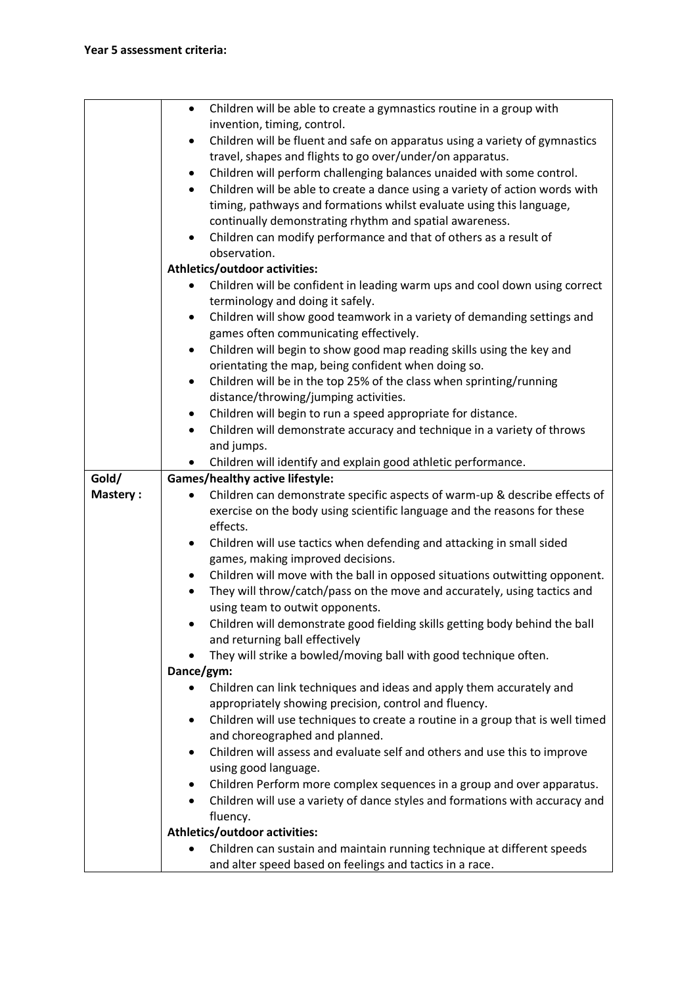|                 | Children will be able to create a gymnastics routine in a group with<br>$\bullet$                  |
|-----------------|----------------------------------------------------------------------------------------------------|
|                 | invention, timing, control.                                                                        |
|                 | Children will be fluent and safe on apparatus using a variety of gymnastics<br>$\bullet$           |
|                 | travel, shapes and flights to go over/under/on apparatus.                                          |
|                 | Children will perform challenging balances unaided with some control.<br>٠                         |
|                 | Children will be able to create a dance using a variety of action words with<br>$\bullet$          |
|                 | timing, pathways and formations whilst evaluate using this language,                               |
|                 | continually demonstrating rhythm and spatial awareness.                                            |
|                 | Children can modify performance and that of others as a result of<br>$\bullet$                     |
|                 | observation.                                                                                       |
|                 | <b>Athletics/outdoor activities:</b>                                                               |
|                 | Children will be confident in leading warm ups and cool down using correct                         |
|                 | terminology and doing it safely.                                                                   |
|                 | Children will show good teamwork in a variety of demanding settings and<br>٠                       |
|                 | games often communicating effectively.                                                             |
|                 | Children will begin to show good map reading skills using the key and<br>$\bullet$                 |
|                 | orientating the map, being confident when doing so.                                                |
|                 | Children will be in the top 25% of the class when sprinting/running<br>$\bullet$                   |
|                 | distance/throwing/jumping activities.                                                              |
|                 | Children will begin to run a speed appropriate for distance.<br>٠                                  |
|                 | Children will demonstrate accuracy and technique in a variety of throws<br>$\bullet$               |
|                 | and jumps.                                                                                         |
|                 | Children will identify and explain good athletic performance.                                      |
| Gold/           | <b>Games/healthy active lifestyle:</b>                                                             |
| <b>Mastery:</b> | Children can demonstrate specific aspects of warm-up & describe effects of                         |
|                 | exercise on the body using scientific language and the reasons for these                           |
|                 | effects.                                                                                           |
|                 | Children will use tactics when defending and attacking in small sided<br>$\bullet$                 |
|                 | games, making improved decisions.                                                                  |
|                 | Children will move with the ball in opposed situations outwitting opponent.<br>٠                   |
|                 | They will throw/catch/pass on the move and accurately, using tactics and                           |
|                 | using team to outwit opponents.                                                                    |
|                 | Children will demonstrate good fielding skills getting body behind the ball                        |
|                 | and returning ball effectively<br>They will strike a bowled/moving ball with good technique often. |
|                 | Dance/gym:                                                                                         |
|                 | Children can link techniques and ideas and apply them accurately and                               |
|                 | appropriately showing precision, control and fluency.                                              |
|                 | Children will use techniques to create a routine in a group that is well timed<br>$\bullet$        |
|                 | and choreographed and planned.                                                                     |
|                 | Children will assess and evaluate self and others and use this to improve<br>$\bullet$             |
|                 | using good language.                                                                               |
|                 | Children Perform more complex sequences in a group and over apparatus.                             |
|                 | Children will use a variety of dance styles and formations with accuracy and<br>$\bullet$          |
|                 | fluency.                                                                                           |
|                 | Athletics/outdoor activities:                                                                      |
|                 | Children can sustain and maintain running technique at different speeds                            |
|                 | and alter speed based on feelings and tactics in a race.                                           |
|                 |                                                                                                    |